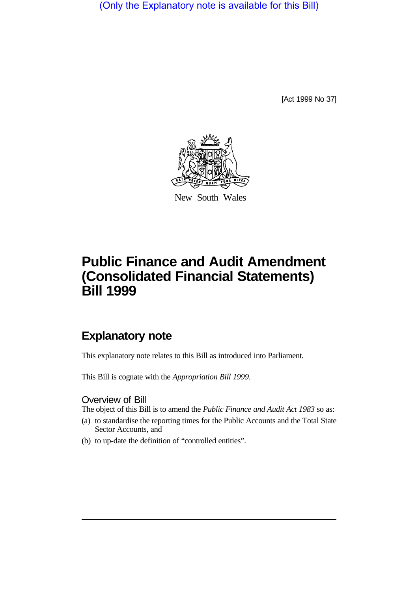(Only the Explanatory note is available for this Bill)

[Act 1999 No 37]



New South Wales

# **Public Finance and Audit Amendment (Consolidated Financial Statements) Bill 1999**

## **Explanatory note**

This explanatory note relates to this Bill as introduced into Parliament.

This Bill is cognate with the *Appropriation Bill 1999*.

### Overview of Bill

The object of this Bill is to amend the *Public Finance and Audit Act 1983* so as:

- (a) to standardise the reporting times for the Public Accounts and the Total State Sector Accounts, and
- (b) to up-date the definition of "controlled entities".